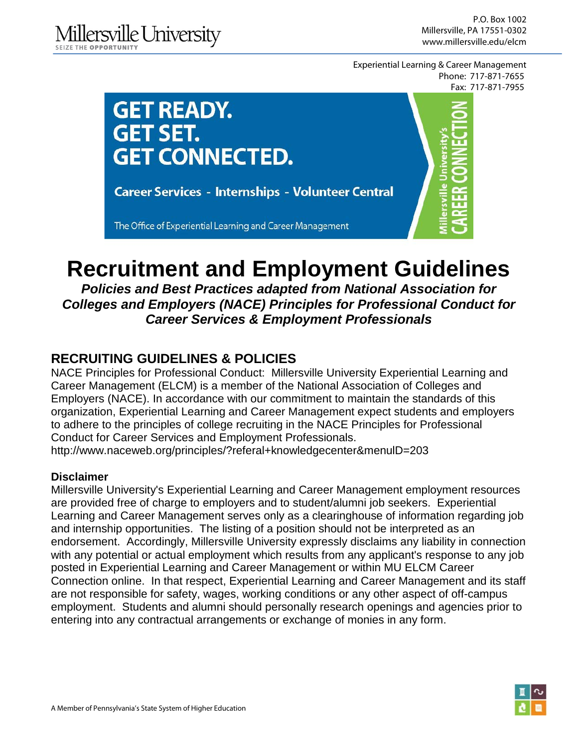Experiential Learning & Career Management Phone: 717-871-7655 Fax: 717-871-7955



# **Recruitment and Employment Guidelines**

*Policies and Best Practices adapted from National Association for Colleges and Employers (NACE) Principles for Professional Conduct for Career Services & Employment Professionals*

# **RECRUITING GUIDELINES & POLICIES**

NACE Principles for Professional Conduct: Millersville University Experiential Learning and Career Management (ELCM) is a member of the National Association of Colleges and Employers (NACE). In accordance with our commitment to maintain the standards of this organization, Experiential Learning and Career Management expect students and employers to adhere to the principles of college recruiting in the NACE Principles for Professional Conduct for Career Services and Employment Professionals.

http://www.naceweb.org/principles/?referal+knowledgecenter&menulD=203

# **Disclaimer**

Millersville University's Experiential Learning and Career Management employment resources are provided free of charge to employers and to student/alumni job seekers. Experiential Learning and Career Management serves only as a clearinghouse of information regarding job and internship opportunities. The listing of a position should not be interpreted as an endorsement. Accordingly, Millersville University expressly disclaims any liability in connection with any potential or actual employment which results from any applicant's response to any job posted in Experiential Learning and Career Management or within MU ELCM Career Connection online. In that respect, Experiential Learning and Career Management and its staff are not responsible for safety, wages, working conditions or any other aspect of off-campus employment. Students and alumni should personally research openings and agencies prior to entering into any contractual arrangements or exchange of monies in any form.

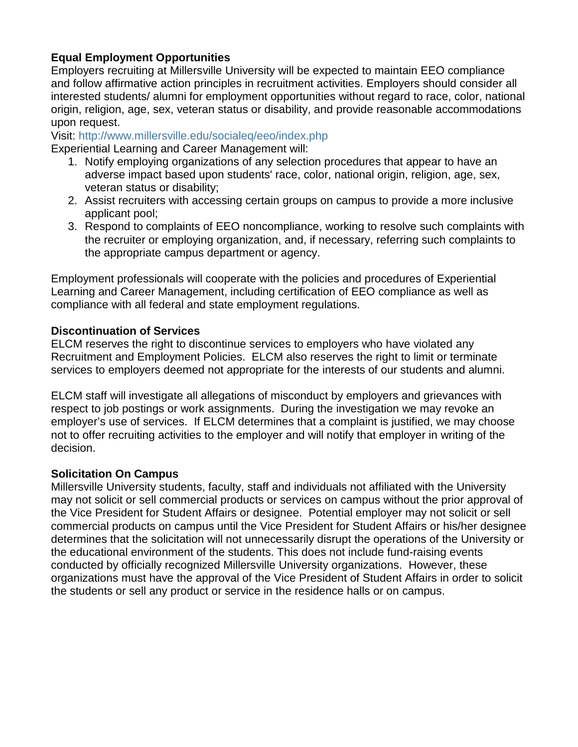# **Equal Employment Opportunities**

Employers recruiting at Millersville University will be expected to maintain EEO compliance and follow affirmative action principles in recruitment activities. Employers should consider all interested students/ alumni for employment opportunities without regard to race, color, national origin, religion, age, sex, veteran status or disability, and provide reasonable accommodations upon request.

Visit:<http://www.millersville.edu/socialeq/eeo/index.php>

Experiential Learning and Career Management will:

- 1. Notify employing organizations of any selection procedures that appear to have an adverse impact based upon students' race, color, national origin, religion, age, sex, veteran status or disability;
- 2. Assist recruiters with accessing certain groups on campus to provide a more inclusive applicant pool;
- 3. Respond to complaints of EEO noncompliance, working to resolve such complaints with the recruiter or employing organization, and, if necessary, referring such complaints to the appropriate campus department or agency.

Employment professionals will cooperate with the policies and procedures of Experiential Learning and Career Management, including certification of EEO compliance as well as compliance with all federal and state employment regulations.

#### **Discontinuation of Services**

ELCM reserves the right to discontinue services to employers who have violated any Recruitment and Employment Policies. ELCM also reserves the right to limit or terminate services to employers deemed not appropriate for the interests of our students and alumni.

ELCM staff will investigate all allegations of misconduct by employers and grievances with respect to job postings or work assignments. During the investigation we may revoke an employer's use of services. If ELCM determines that a complaint is justified, we may choose not to offer recruiting activities to the employer and will notify that employer in writing of the decision.

# **Solicitation On Campus**

Millersville University students, faculty, staff and individuals not affiliated with the University may not solicit or sell commercial products or services on campus without the prior approval of the Vice President for Student Affairs or designee. Potential employer may not solicit or sell commercial products on campus until the Vice President for Student Affairs or his/her designee determines that the solicitation will not unnecessarily disrupt the operations of the University or the educational environment of the students. This does not include fund-raising events conducted by officially recognized Millersville University organizations. However, these organizations must have the approval of the Vice President of Student Affairs in order to solicit the students or sell any product or service in the residence halls or on campus.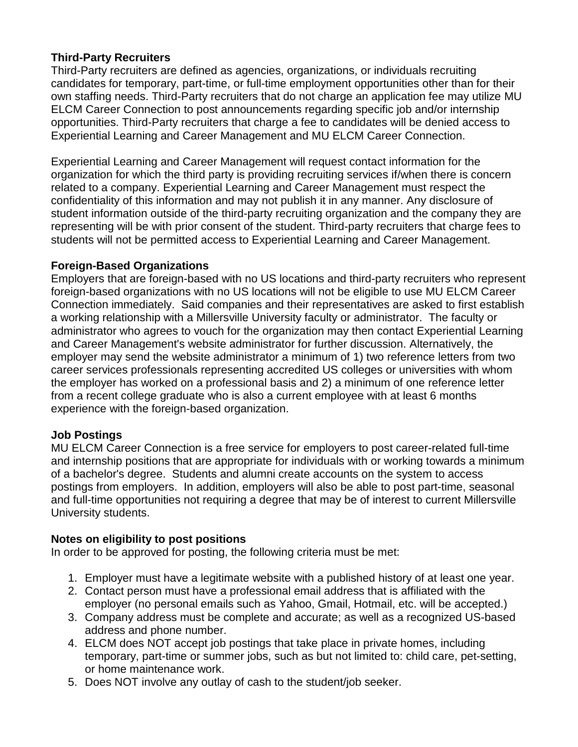## **Third-Party Recruiters**

Third-Party recruiters are defined as agencies, organizations, or individuals recruiting candidates for temporary, part-time, or full-time employment opportunities other than for their own staffing needs. Third-Party recruiters that do not charge an application fee may utilize MU ELCM Career Connection to post announcements regarding specific job and/or internship opportunities. Third-Party recruiters that charge a fee to candidates will be denied access to Experiential Learning and Career Management and MU ELCM Career Connection.

Experiential Learning and Career Management will request contact information for the organization for which the third party is providing recruiting services if/when there is concern related to a company. Experiential Learning and Career Management must respect the confidentiality of this information and may not publish it in any manner. Any disclosure of student information outside of the third-party recruiting organization and the company they are representing will be with prior consent of the student. Third-party recruiters that charge fees to students will not be permitted access to Experiential Learning and Career Management.

#### **Foreign-Based Organizations**

Employers that are foreign-based with no US locations and third-party recruiters who represent foreign-based organizations with no US locations will not be eligible to use MU ELCM Career Connection immediately. Said companies and their representatives are asked to first establish a working relationship with a Millersville University faculty or administrator. The faculty or administrator who agrees to vouch for the organization may then contact Experiential Learning and Career Management's website administrator for further discussion. Alternatively, the employer may send the website administrator a minimum of 1) two reference letters from two career services professionals representing accredited US colleges or universities with whom the employer has worked on a professional basis and 2) a minimum of one reference letter from a recent college graduate who is also a current employee with at least 6 months experience with the foreign-based organization.

# **Job Postings**

MU ELCM Career Connection is a free service for employers to post career-related full-time and internship positions that are appropriate for individuals with or working towards a minimum of a bachelor's degree. Students and alumni create accounts on the system to access postings from employers. In addition, employers will also be able to post part-time, seasonal and full-time opportunities not requiring a degree that may be of interest to current Millersville University students.

#### **Notes on eligibility to post positions**

In order to be approved for posting, the following criteria must be met:

- 1. Employer must have a legitimate website with a published history of at least one year.
- 2. Contact person must have a professional email address that is affiliated with the employer (no personal emails such as Yahoo, Gmail, Hotmail, etc. will be accepted.)
- 3. Company address must be complete and accurate; as well as a recognized US-based address and phone number.
- 4. ELCM does NOT accept job postings that take place in private homes, including temporary, part-time or summer jobs, such as but not limited to: child care, pet-setting, or home maintenance work.
- 5. Does NOT involve any outlay of cash to the student/job seeker.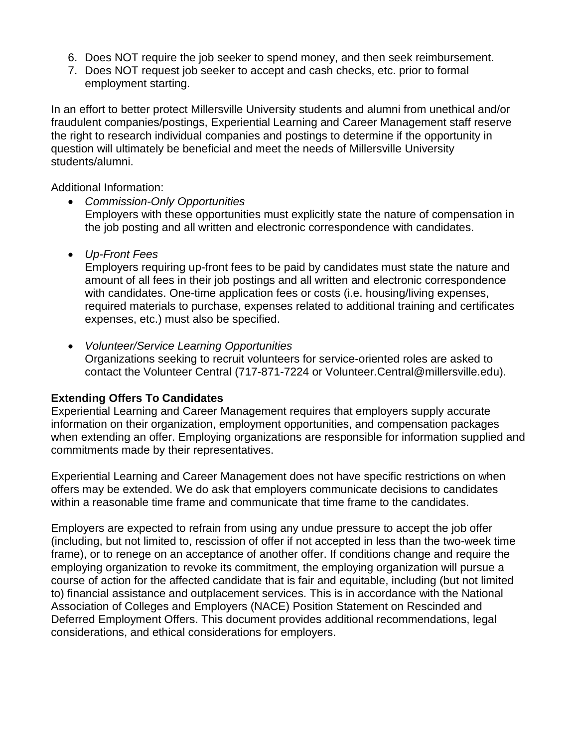- 6. Does NOT require the job seeker to spend money, and then seek reimbursement.
- 7. Does NOT request job seeker to accept and cash checks, etc. prior to formal employment starting.

In an effort to better protect Millersville University students and alumni from unethical and/or fraudulent companies/postings, Experiential Learning and Career Management staff reserve the right to research individual companies and postings to determine if the opportunity in question will ultimately be beneficial and meet the needs of Millersville University students/alumni.

Additional Information:

- *Commission-Only Opportunities* Employers with these opportunities must explicitly state the nature of compensation in the job posting and all written and electronic correspondence with candidates.
- *Up-Front Fees*

Employers requiring up-front fees to be paid by candidates must state the nature and amount of all fees in their job postings and all written and electronic correspondence with candidates. One-time application fees or costs (i.e. housing/living expenses, required materials to purchase, expenses related to additional training and certificates expenses, etc.) must also be specified.

• *Volunteer/Service Learning Opportunities* Organizations seeking to recruit volunteers for service-oriented roles are asked to contact the Volunteer Central (717-871-7224 or Volunteer.Central@millersville.edu).

# **Extending Offers To Candidates**

Experiential Learning and Career Management requires that employers supply accurate information on their organization, employment opportunities, and compensation packages when extending an offer. Employing organizations are responsible for information supplied and commitments made by their representatives.

Experiential Learning and Career Management does not have specific restrictions on when offers may be extended. We do ask that employers communicate decisions to candidates within a reasonable time frame and communicate that time frame to the candidates.

Employers are expected to refrain from using any undue pressure to accept the job offer (including, but not limited to, rescission of offer if not accepted in less than the two-week time frame), or to renege on an acceptance of another offer. If conditions change and require the employing organization to revoke its commitment, the employing organization will pursue a course of action for the affected candidate that is fair and equitable, including (but not limited to) financial assistance and outplacement services. This is in accordance with the National Association of Colleges and Employers (NACE) Position Statement on Rescinded and Deferred Employment Offers. This document provides additional recommendations, legal considerations, and ethical considerations for employers.